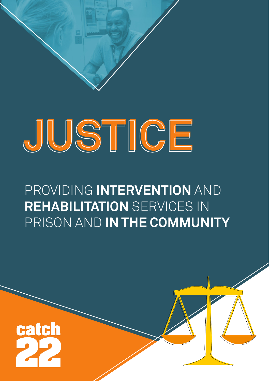

## PROVIDING **INTERVENTION** AND **REHABILITATION** SERVICES IN PRISON AND **IN THE COMMUNITY**

# **JUSTICE JUSTICE**

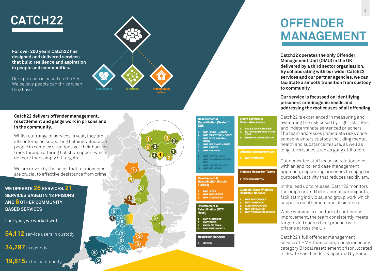# **CATCH22**

**For over 200 years Catch22 has designed and delivered services that build resilience and aspiration in people and communities.** 

Our approach is based on the 3Ps. We believe people can thrive when they have:



## **Catch22 delivers offender management, resettlement and gangs work in prisons and in the community.**

Whilst our range of services is vast, they are all centered on supporting helping vulnerable people in complex situations get their back on track through offering holistic support which do more than simply hit targets.

We are driven by the belief that relationships are crucial to effective desistance from crime.

## **WE OPERATE 26 SERVICES. 21 SERVICES BASED IN 18 PRISONS AND 6 OTHER COMMUNITY BASED SERVICES**

Last year, we worked with:

**54,112** service users in custody

**34,297** in custody

**19,815** in the community





1. BRISTOL

# **OFFENDER MANAGEMENT**

**Catch22 operates the only Offender Management Unit (OMU) in the UK delivered by a third sector organisation. By collaborating with our wider Catch22 services and our partner agencies, we can facilitate a smooth transition from custody to community.** 

### **Our service is focussed on identifying prisoners' criminogenic needs and addressing the root causes of all offending.**

Catch22 is experienced in measuring and evaluating the risk posed by high risk, lifers and indeterminate sentenced prisoners. The team addresses immediate risks once someone enters custody, including mental health and substance misuse, as well as long-term issues such as gang affiliation. <sup>8</sup><br> **CHERENDEREM SALA SOLAT CONTRANS CONTRANS CONTRANS CONTRANS CONTRANS CONTRANS CONTRANS CONTRANS CONTRANS CONTRANS (By collaborating with our wider Catch22 services and our partner agencies, we can facilitate a smooth** 

Our dedicated staff focus on relationships with an end-to-end case management approach, supporting prisoners to engage in purposeful activity that reduces recidivism.

In the lead up to release, Catch22 monitors the progress and behaviour of participants, facilitating individual and group work which supports resettlement and desistance.

While working in a culture of continuous improvement, the team consistently meets targets and shares best practice with prisons across the UK.

Catch22's full offender management service at HMP Thameside; a busy inner city, category B local resettlement prison, located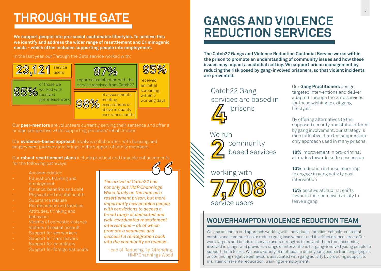# **THROUGH THE GATE**

**We support people into pro-social sustainable lifestyles. To achieve this we identify and address the wider range of resettlement and Criminogenic needs - which often includes supporting people into employment.**

In the last year, our Through the Gate service worked with:



Our **peer-mentors** are volunteers currently serving their sentence and offer a unique perspective while supporting prisoners' rehabilitation.

Our **evidence-based approach** involves collaboration with housing and employment partners and brings in the support of family members.

Our **robust resettlement plans** include practical and tangible enhancements for the following pathways:

- Accommodation
- Education, training and employment
- Finance, benefits and debt
- Physical and mental health
- Substance misuse
- Relationships and families
- Attitudes, thinking and behaviour
- Victims of domestic violence
- Victims of sexual assault
- Support for sex workers
- Support for care leavers
- Support for ex-military
- Support for foreign nationals

*The arrival of Catch22 has not only put HMP Channings Wood firmly on the map as a resettlement prison, but more importantly now enables people with convictions to access a broad range of dedicated and well-coordinated resettlement interventions – all of which promote a seamless and successful reintegration back into the community on release.* 66<br>
Paramings<br>
nap as a<br>
, but more<br>
nbles people<br>
nacess a<br>
cated and

Head of Reducing Re-Offending, HMP Channings Wood

# **GANGS AND VIOLENCE REDUCTION SERVICES**

**The Catch22 Gangs and Violence Reduction Custodial Service works within the prison to promote an understanding of community issues and how these issues may impact a custodial setting. We support prison management by reducing the risk posed by gang-involved prisoners, so that violent incidents are prevented.**



2 community<br>based service based services



Our **Gang Practitioners** design targeted interventions and deliver adapted Through the Gate services for those wishing to exit gang lifestyles.

By offering alternatives to the supposed security and status offered by gang involvement, our strategy is more effective than the suppressiononly approach used in many prisons.

**18%** improvement in pro-criminal attitudes towards knife possession

**13%** reduction in those reporting to engage in gang activity post intervention

**15%** positive attitudinal shifts towards their perceived ability to leave a gang.

## **WOLVERHAMPTON VIOLENCE REDUCTION TEAM**

We use an end to end approach working with individuals, families, schools, custodial estates and communities to reduce gang involvement and its effect on local areas. Our work targets and builds on service users' strengths to prevent them from becoming involved in gangs, and provides a range of interventions for gang-involved young people to support them to exit. We use a variety of methods to deter young people from engaging in, or continuing negative behaviours associated with gang activity by providing support to maintain or re-enter education, training or employment.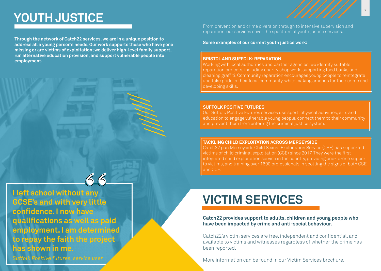# **YOUTH JUSTICE**

**Through the network of Catch22 services, we are in a unique position to address all a young person's needs. Our work supports those who have gone missing or are victims of exploitation; we deliver high-level family support, run alternative education provision, and support vulnerable people into employment.** 

**g**<br> **l** left school without any<br> **GCSE's and with very little**<br> **confidence. I now have**<br> **qualifications as well as paid I left school without any GCSE's and with very little confidence. I now have employment. I am determined to repay the faith the project has shown in me.** 

*Suffolk Positive futures, service user*

From prevention and crime diversion through to intensive supervision and reparation, our services cover the spectrum of youth justice services.

**Some examples of our current youth justice work:** 

#### **BRISTOL AND SUFFOLK: REPARATION**

Working with local authorities and partner agencies, we identify suitable reparation projects, including charity shop work, supporting food banks and cleaning graffiti. Community reparation encourages young people to reintegrate

#### **SUFFOLK POSITIVE FUTURES**

Our Suffolk Positive Futures services use sport, physical activities, arts and education to engage vulnerable young people, connect them to their community

#### **TACKLING CHILD EXPLOITATION ACROSS MERSEYSIDE**

Catch22 pan Merseyside Child Sexual Exploitation Service (CSE) has supported victims of child criminal exploitation (CCE) since 2017. They were the first integrated child exploitation service in the country, providing one-to-one support to victims, and training over 1600 professionals in spotting the signs of both CSE and CCE.

# **VICTIM SERVICES**

**Catch22 provides support to adults, children and young people who have been impacted by crime and anti-social behaviour.** 

Catch22's victim services are free, independent and confidential, and available to victims and witnesses regardless of whether the crime has been reported.

More information can be found in our Victim Services brochure.